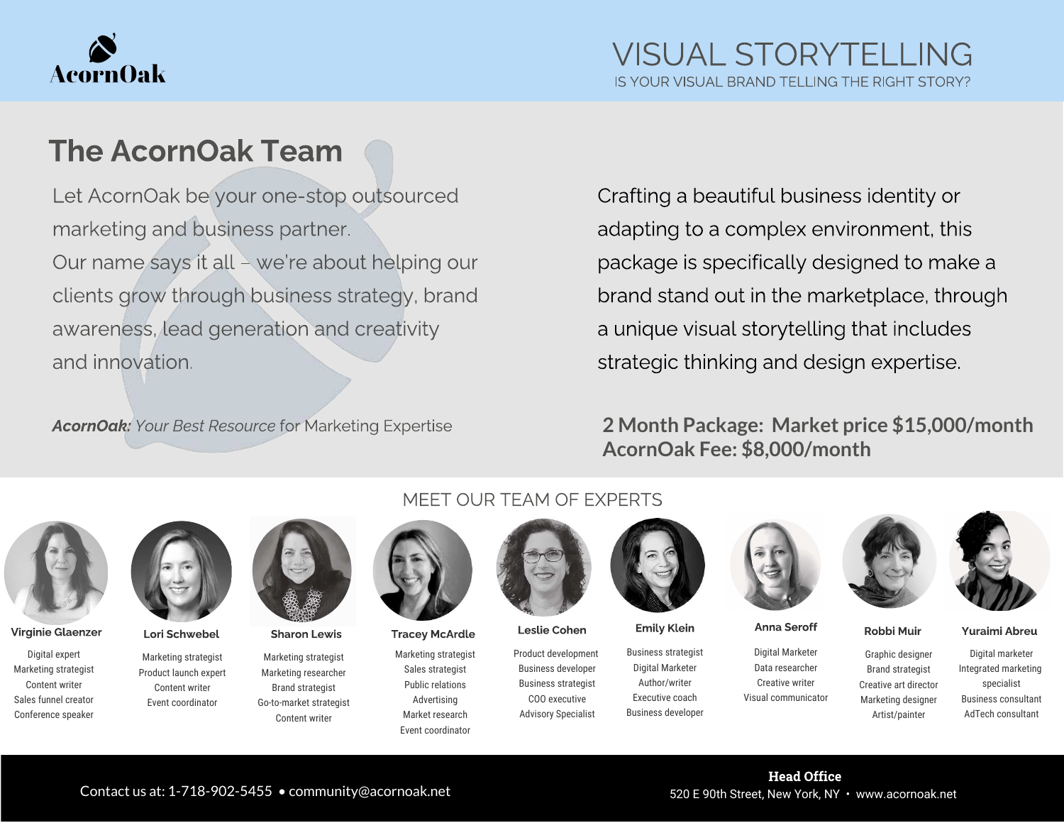

# The AcornOak Team

Let AcornOak be your one-stop outsourced Our name says it all - we're about helping our clients grow through business strategy, brand clients grow through business strategy, brands awareness, lead generation and creativity that and innovation.

AcornOak: Your Best Resource for Marketing Expertise

Crafting a beautiful business identity or package is specifically designed to make a brand stand out in the marketplace, through a unique visual storytelling that includes strategic thinking and design expertise. strategic thinking and design expertise.

#### **2 Month Package: Market price \$15,000/month AcornOak Fee: \$8,000/month**



Virginie Glaenzer Lori Schwebel Sharon Lewis Tracey McArdle Leslie Cohen Emily Klein Anna Seroff Robbi Muir Yuraimi Abreu

Digital expert Marketing strategist Content writer Sales funnel creator Conference speaker



Marketing strategist Product launch expert Content writer Event coordinator

Marketing strategist Marketing researcher Brand strategist Go-to-market strategist Content writer

### MEET OUR TEAM OF EXPERTS



Marketing strategist Sales strategist Public relations Advertising Market research Event coordinator



Product development Business developer Business strategist COO executive Advisory Specialist



Business strategist Digital Marketer Author/writer Executive coach Business developer



Digital Marketer Data researcher Creative writer Visual communicator





Graphic designer Brand strategist Creative art director Marketing designer Artist/painter

Digital marketer Integrated marketing specialist Business consultant AdTech consultant